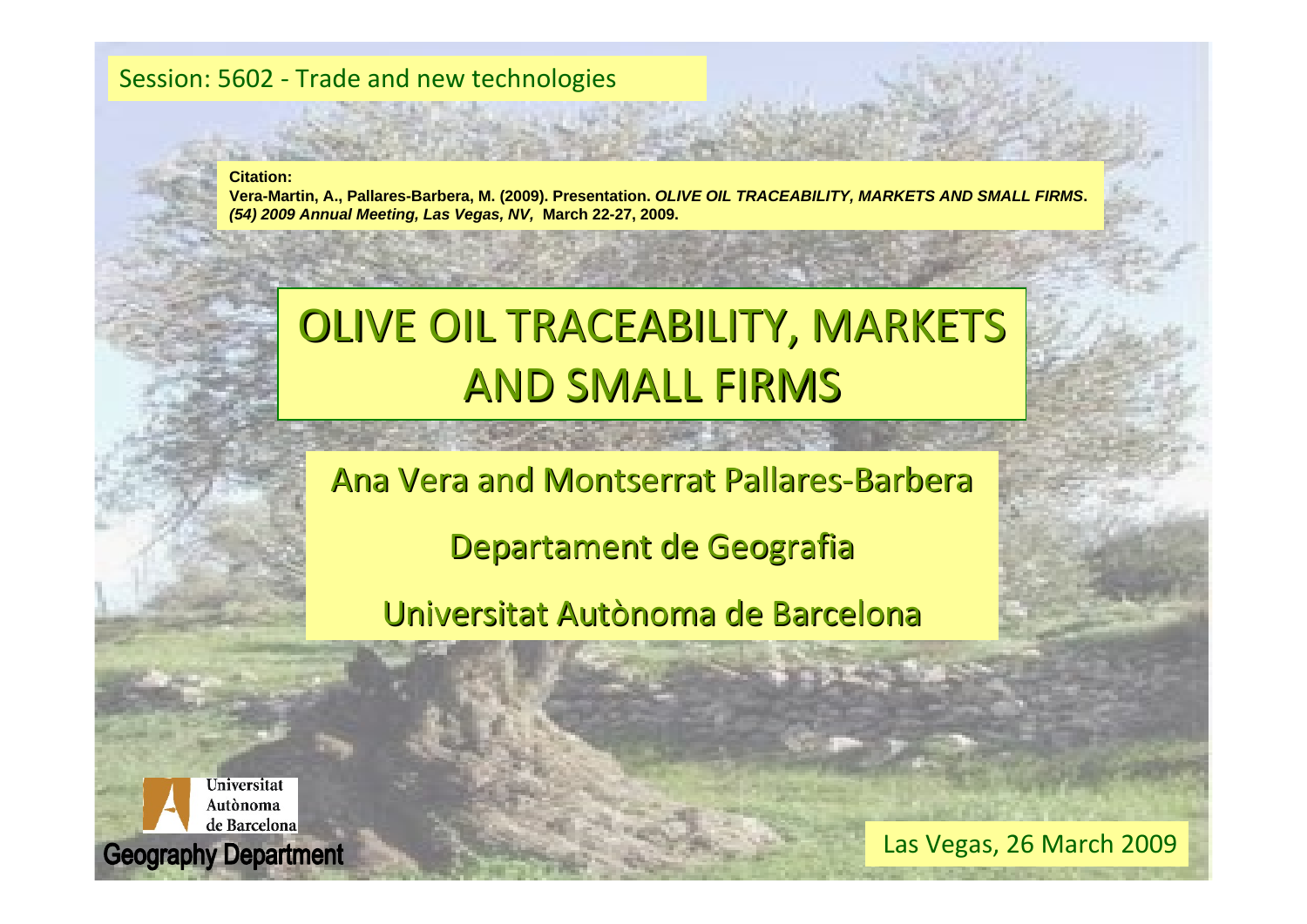#### Session: 5602 ‐ Trade and new technologies

**Citation:**

**Vera-Martin, A., Pallares-Barbera, M. (2009). Presentation.** *OLIVE OIL TRACEABILITY, MARKETS AND SMALL FIRMS***.**  *(54) 2009 Annual Meeting, Las Vegas, NV,* **March 22-27, 2009.**

# OLIVE OIL TRACEABILITY, MARKETS AND SMALL FIRMS

Ana Vera and Montserrat Pallares-Barbera

Departament de Geografia

Universitat Autònoma de Barcelona



Las Vegas, 26 March 2009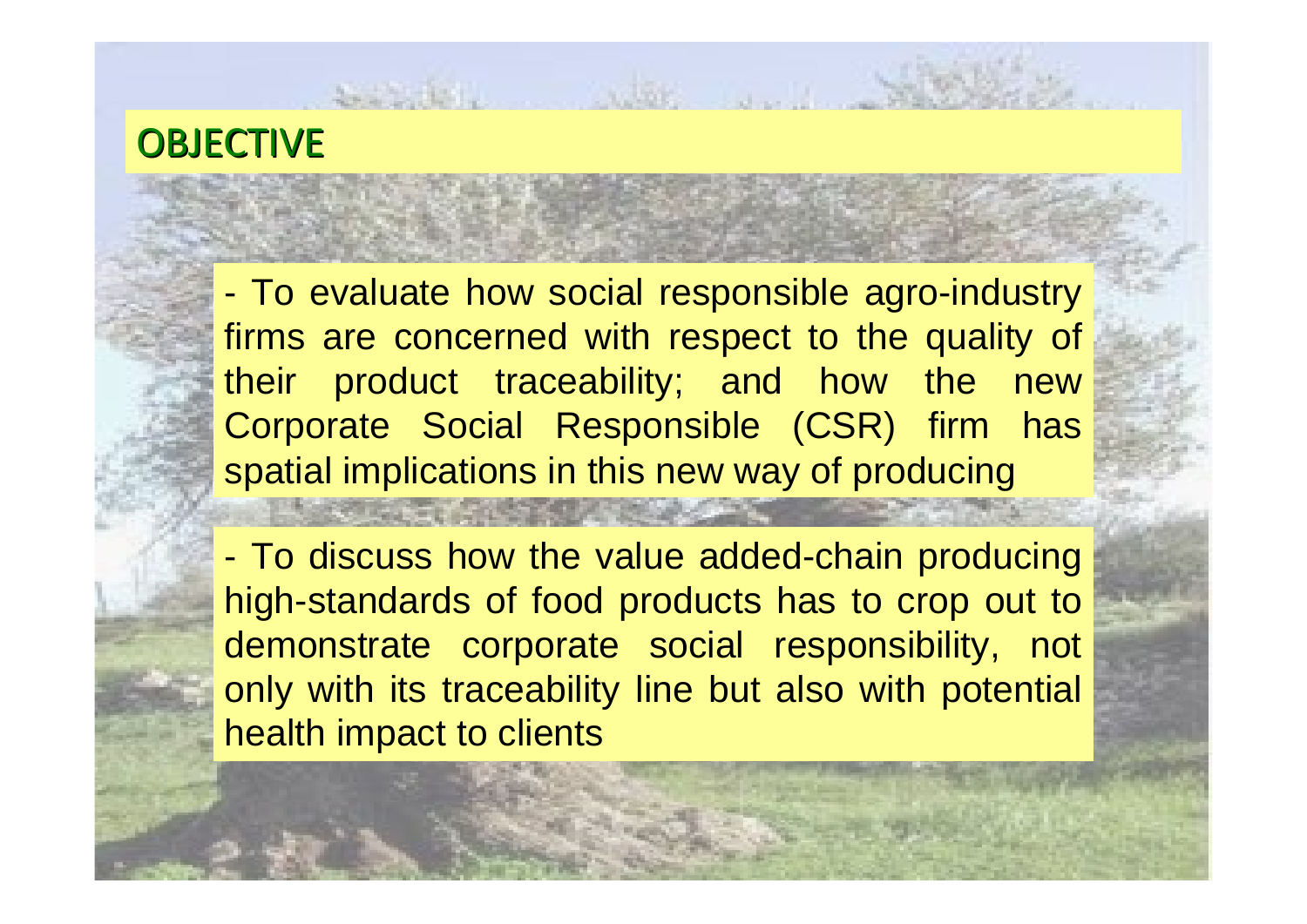#### OBJECTIVE

- To evaluate how social responsible agro-industry firms are concerned with respect to the quality of their product traceability; and how the new Corporate Social Responsible (CSR) firm has spatial implications in this new way of producing

- To discuss how the value added-chain producing high-standards of food products has to crop out to demonstrate corporate social responsibility, not only with its traceability line but also with potential health impact to clients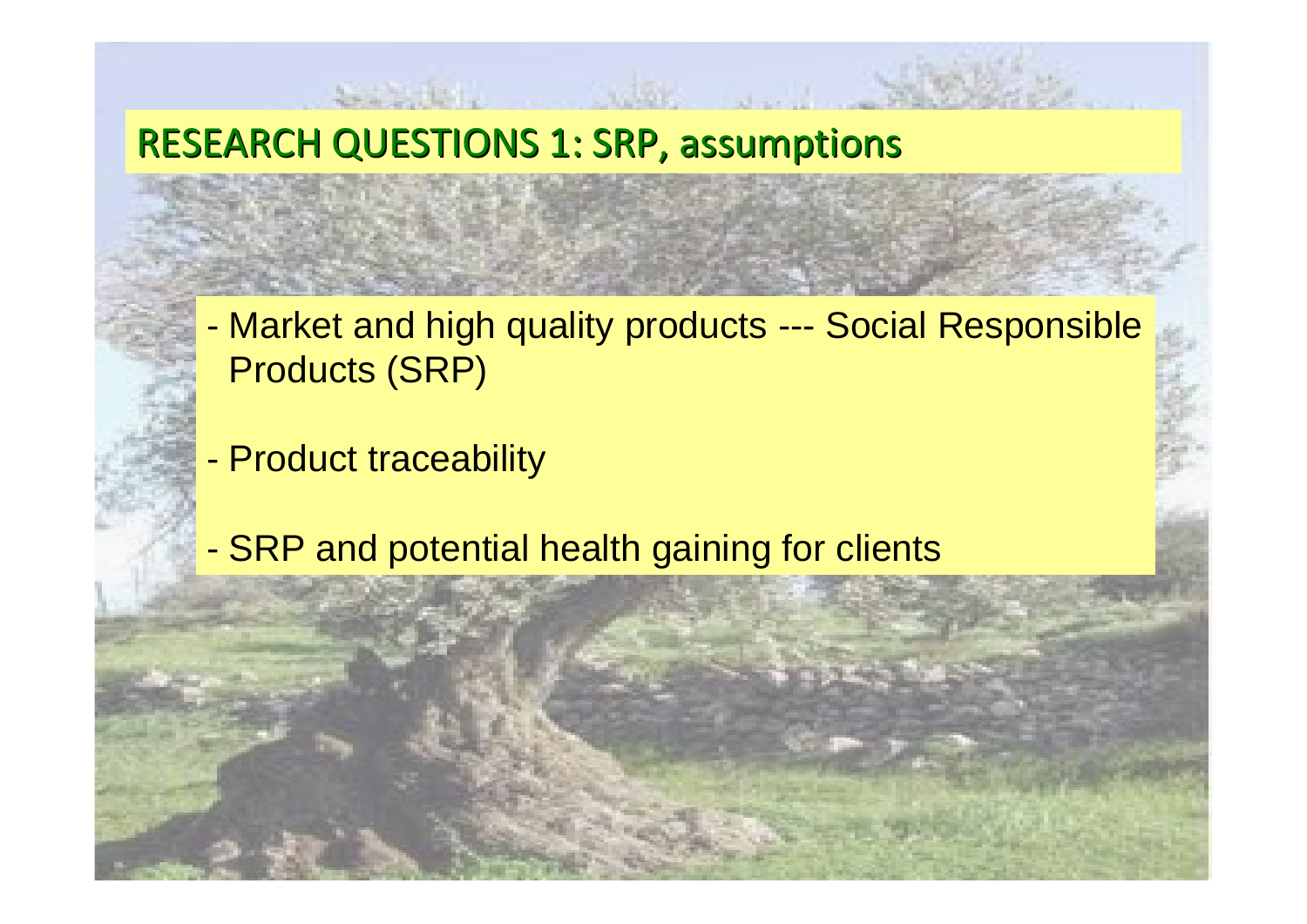#### RESEARCH QUESTIONS 1: SRP, assumptions

- - Market and high quality products --- Social Responsible Products (SRP)
- -Product traceability
- -SRP and potential health gaining for clients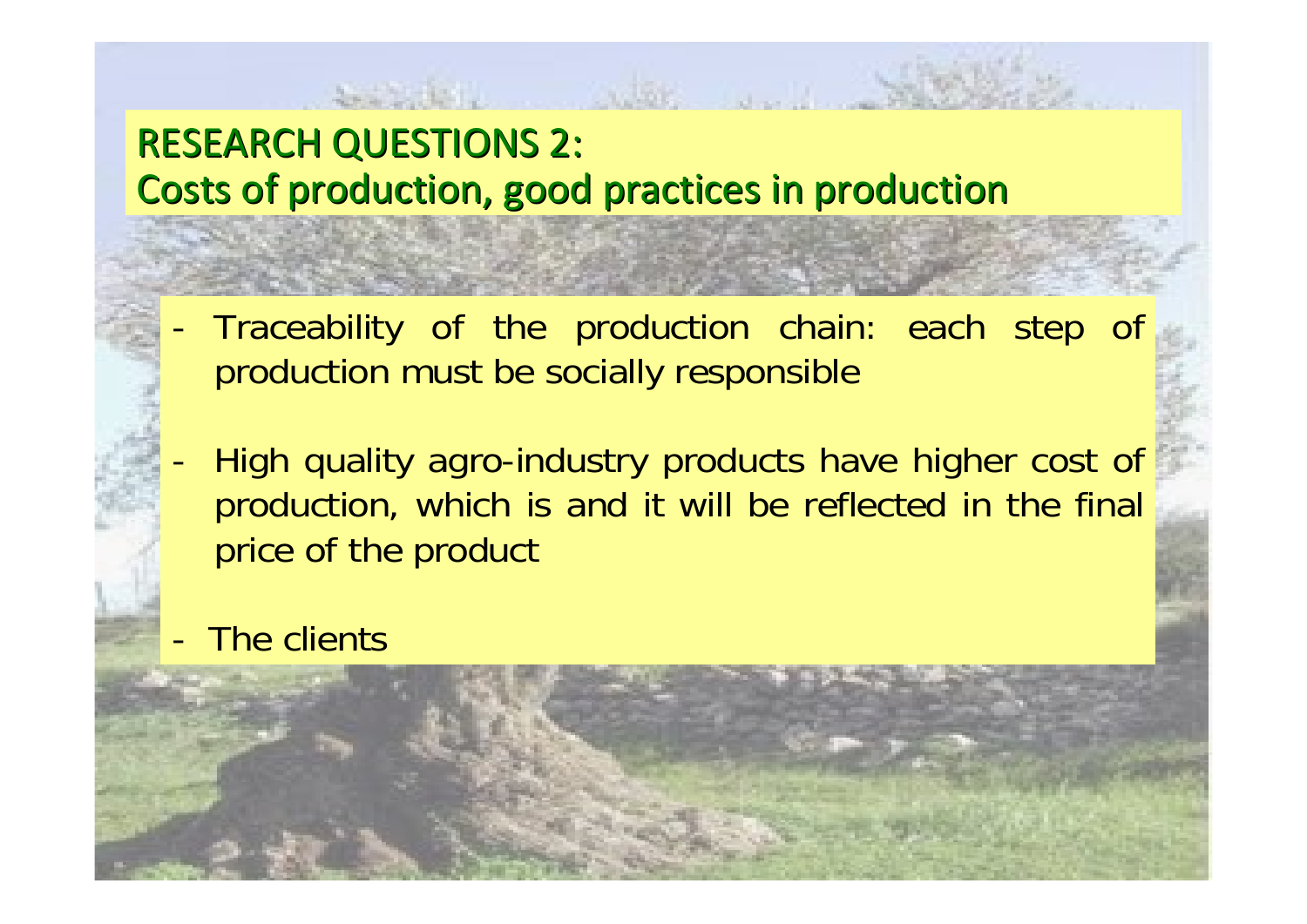# RESEARCH QUESTIONS 2: Costs of production, good practices in production

- - Traceability of the production chain: each step of production must be socially responsible
- - High quality agro-industry products have higher cost of production, which is and it will be reflected in the final price of the product
- -The clients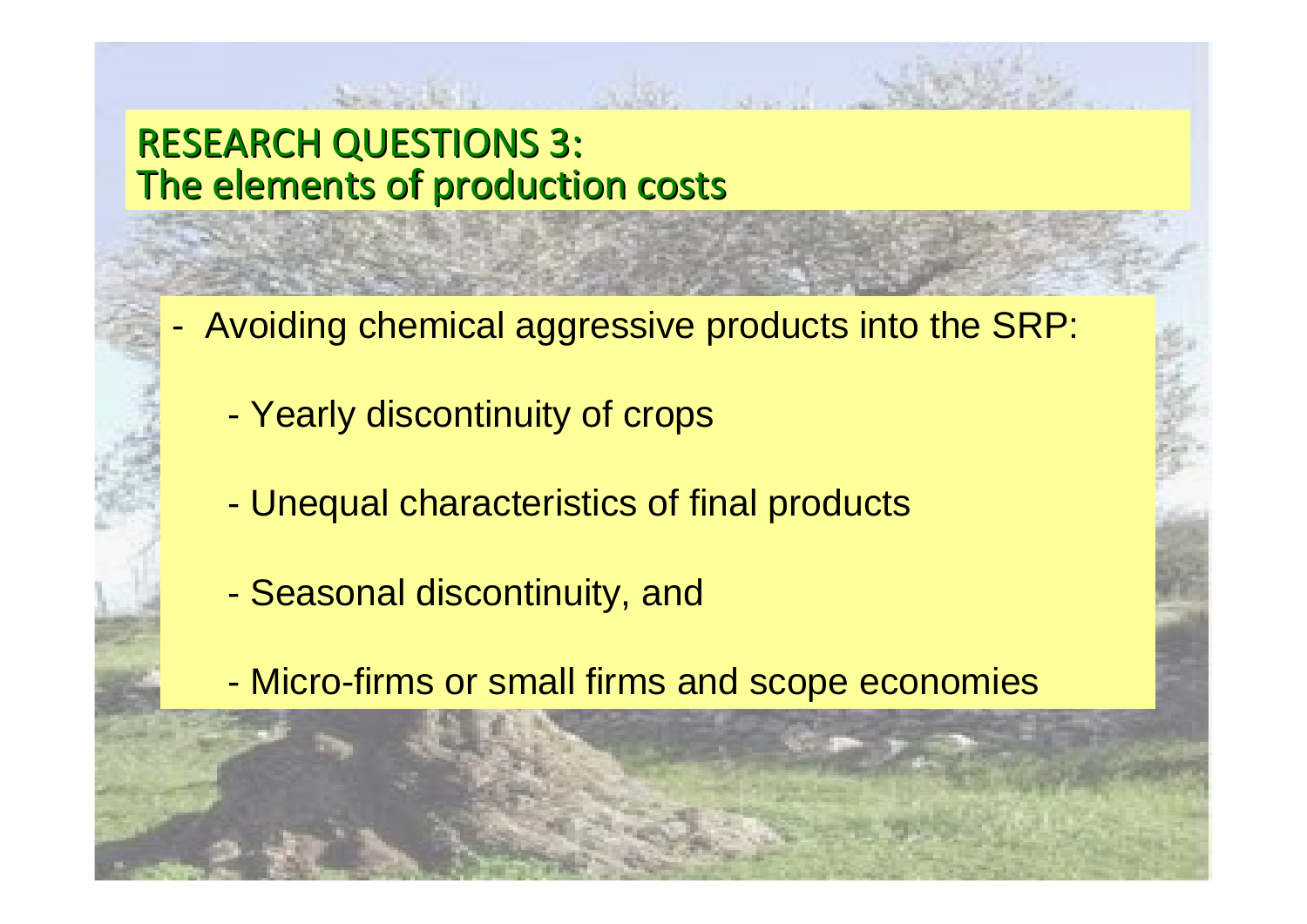#### RESEARCH QUESTIONS 3: The elements of production costs

- - Avoiding chemical aggressive products into the SRP:
	- Yearly discontinuity of crops
	- -Unequal characteristics of final products
	- -Seasonal discontinuity, and
	- -Micro-firms or small firms and scope economies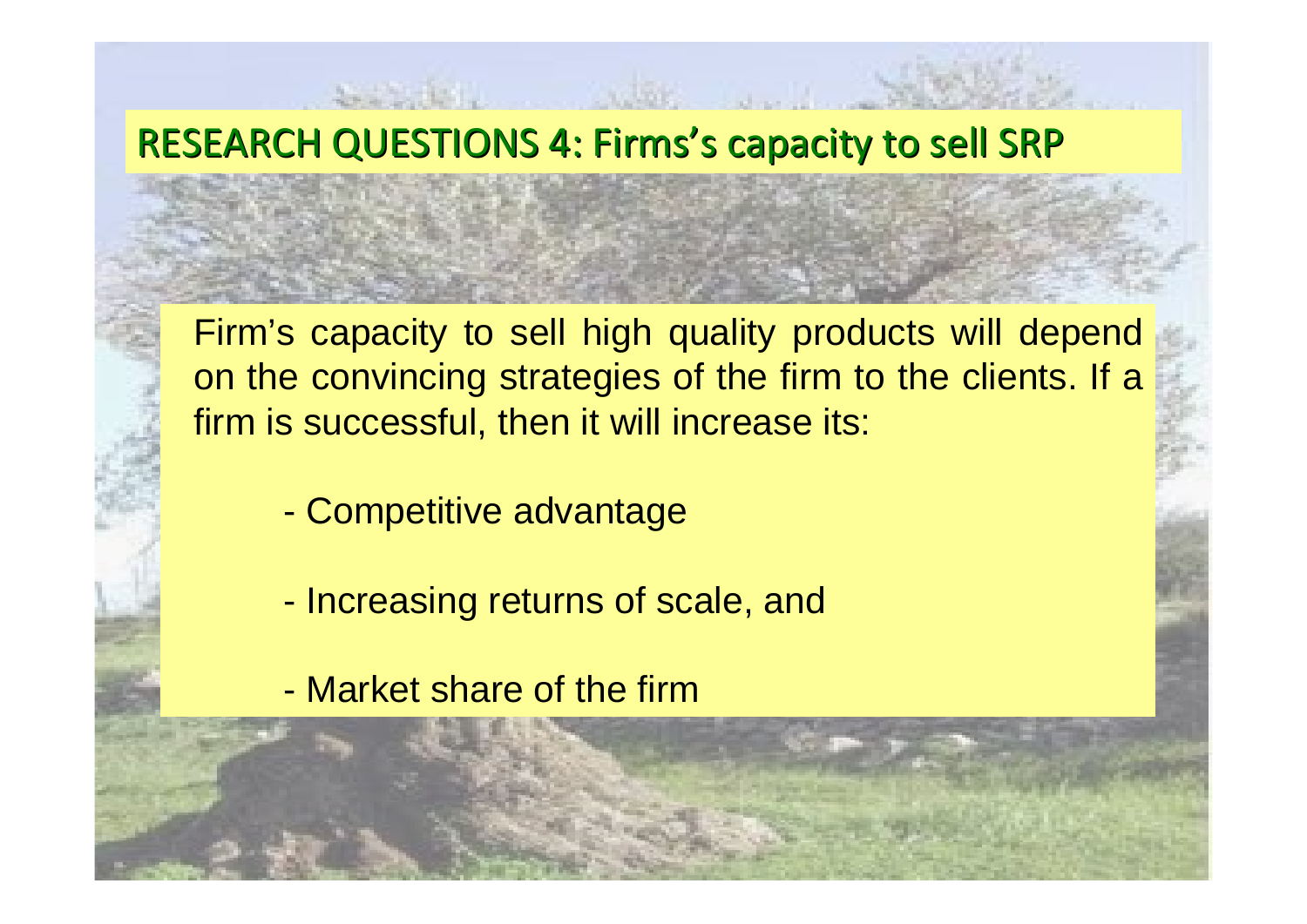#### RESEARCH QUESTIONS 4: Firms's capacity to sell SRP

Firm's capacity to sell high quality products will depend on the convincing strategies of the firm to the clients. If a firm is successful, then it will increase its:

- -Competitive advantage
- -Increasing returns of scale, and
- Market share of the firm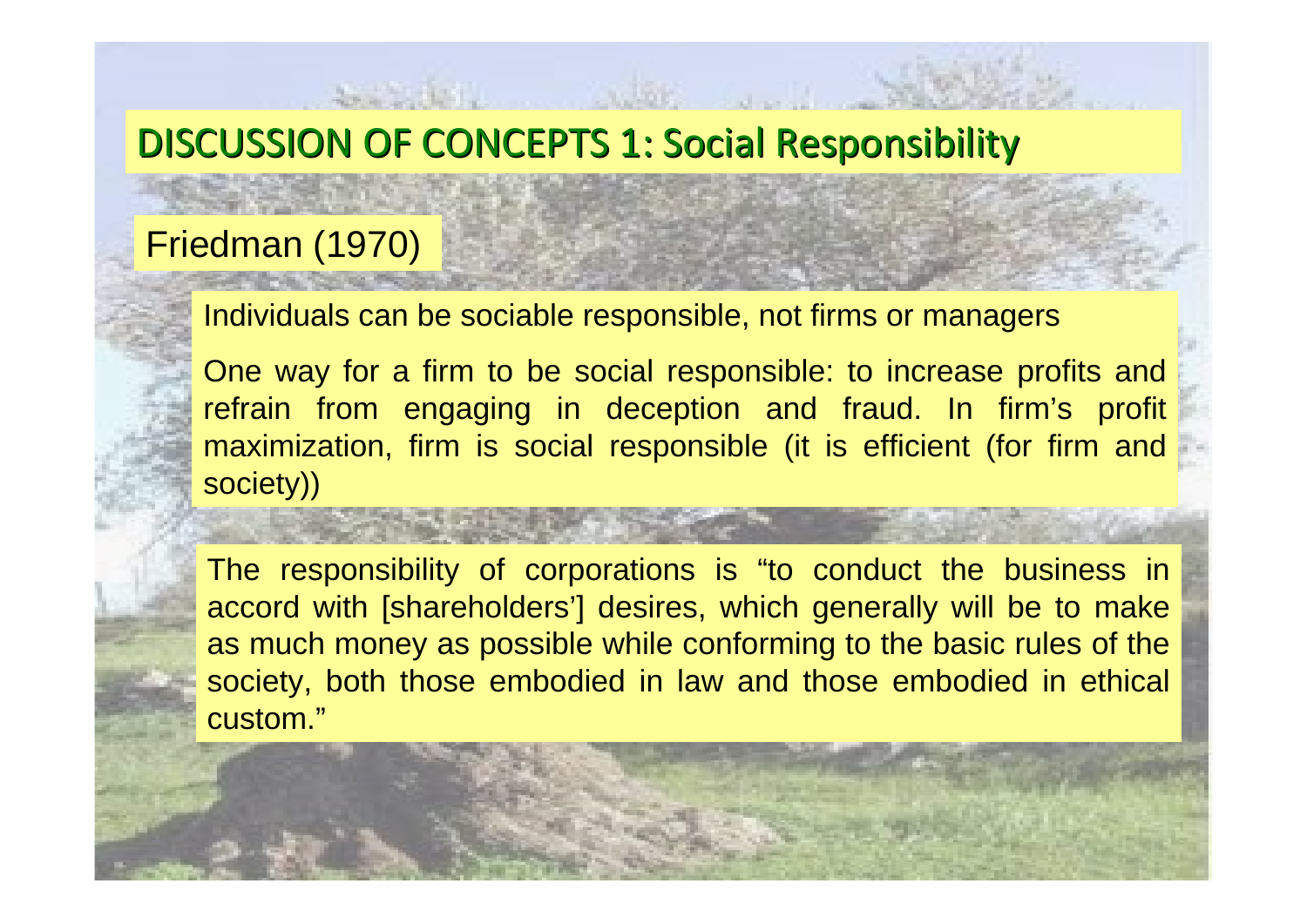# DISCUSSION OF CONCEPTS 1: Social Responsibility

#### Friedman (1970)

Individuals can be sociable responsible, not firms or managers

One way for a firm to be social responsible: to increase profits and refrain from engaging in deception and fraud. In firm's profit maximization, firm is social responsible (it is efficient (for firm and society))

#### The responsibility of corporations is "to conduct the business in accord with [shareholders'] desires, which generally will be to make as much money as possible while conforming to the basic rules of the society, both those embodied in law and those embodied in ethical custom."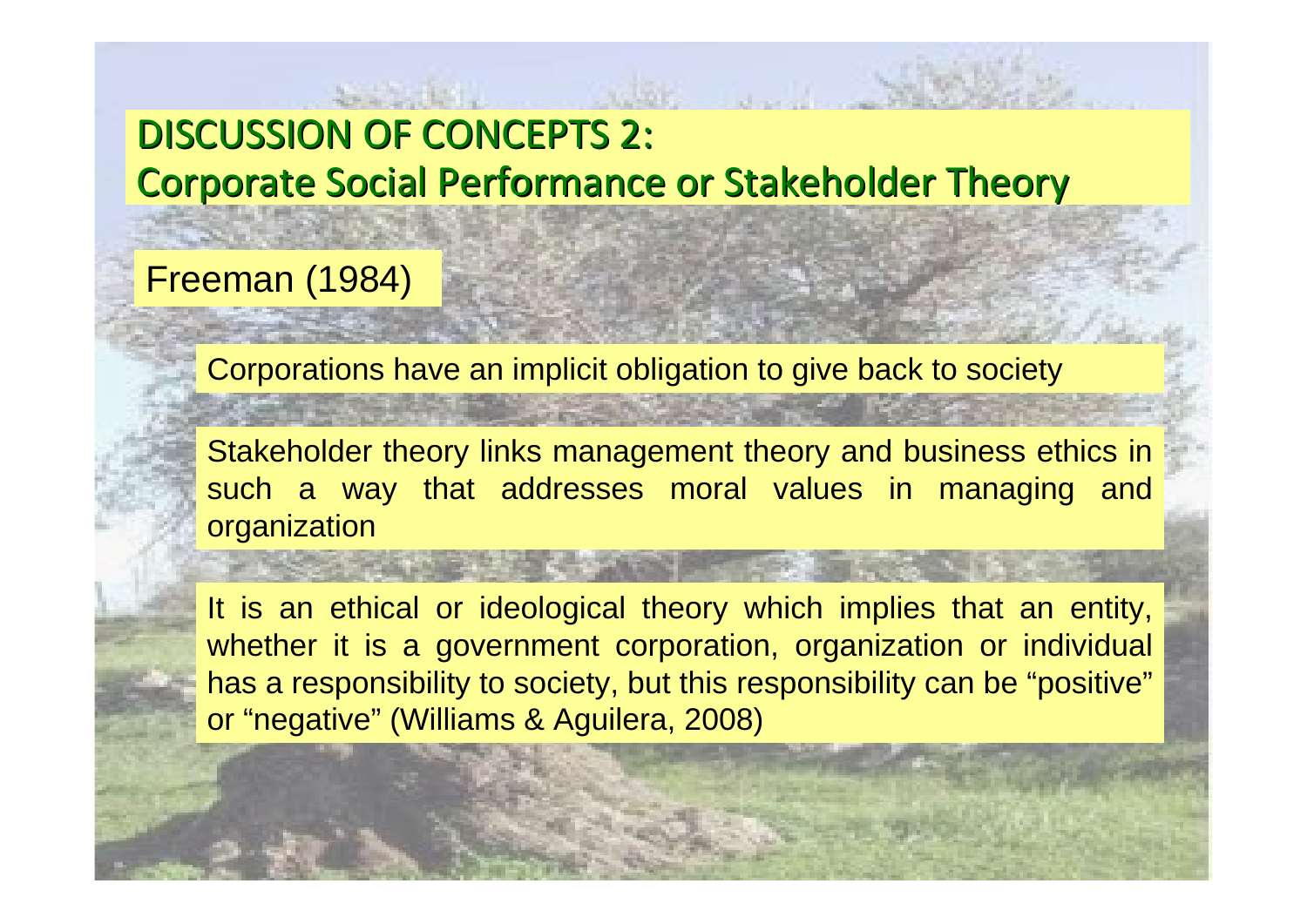# DISCUSSION OF CONCEPTS 2: Corporate Social Performance or Stakeholder Theory

#### Freeman (1984)

Corporations have an implicit obligation to give back to society

Stakeholder theory links management theory and business ethics in such a way that addresses moral values in managing and organization

It is an ethical or ideological theory which implies that an entity, whether it is a government corporation, organization or individual has a responsibility to society, but this responsibility can be "positive" or "negative" (Williams & Aguilera, 2008)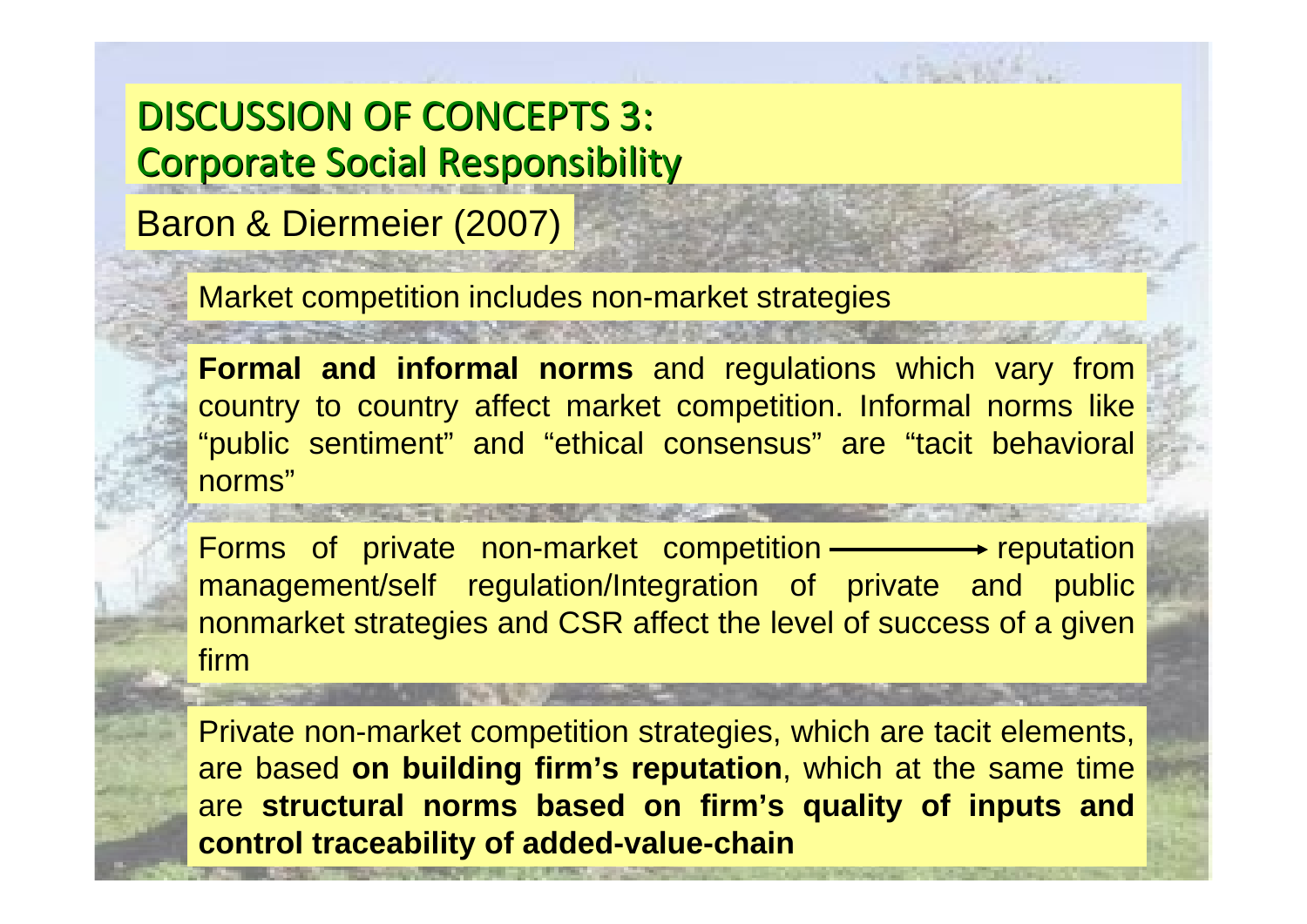DISCUSSION OF CONCEPTS 3: **Corporate Social Responsibility** 

Baron & Diermeier (2007)

Market competition includes non-market strategies

**Formal and informal norms** and regulations which vary from country to country affect market competition. Informal norms like "public sentiment" and "ethical consensus" are "tacit behavioral norms"

Forms of private non-market competition  $\longrightarrow$  reputation management/self regulation/Integration of private and public nonmarket strategies and CSR affect the level of success of a given firm

Private non-market competition strategies, which are tacit elements, are based **on building firm's reputation**, which at the same time are **structural norms based on firm's quality of inputs and control traceability of added-value-chain**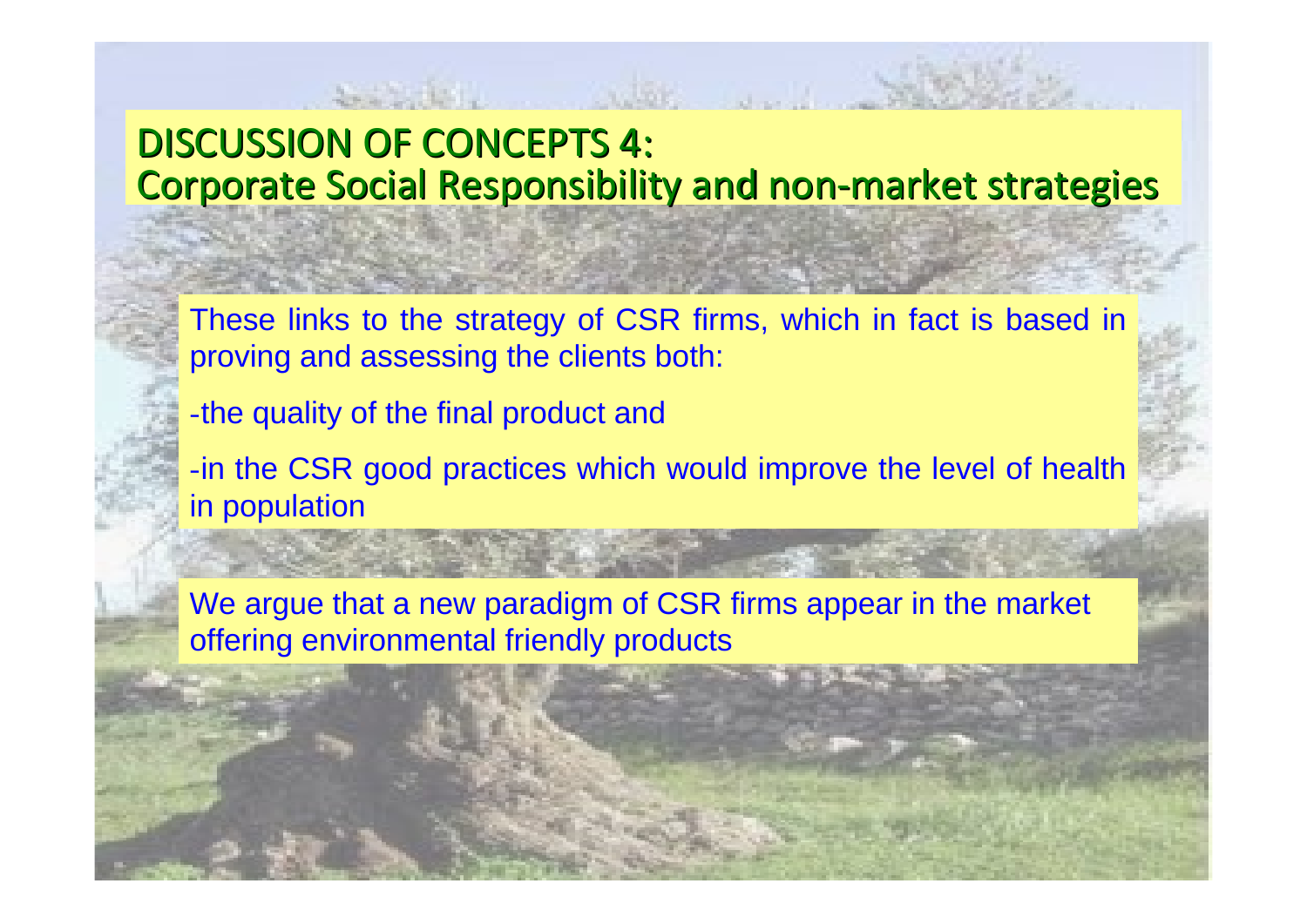### DISCUSSION OF CONCEPTS 4: Corporate Social Responsibility and non-market strategies

These links to the strategy of CSR firms, which in fact is based in proving and assessing the clients both:

-the quality of the final product and

-in the CSR good practices which would improve the level of health in population

We argue that a new paradigm of CSR firms appear in the market offering environmental friendly products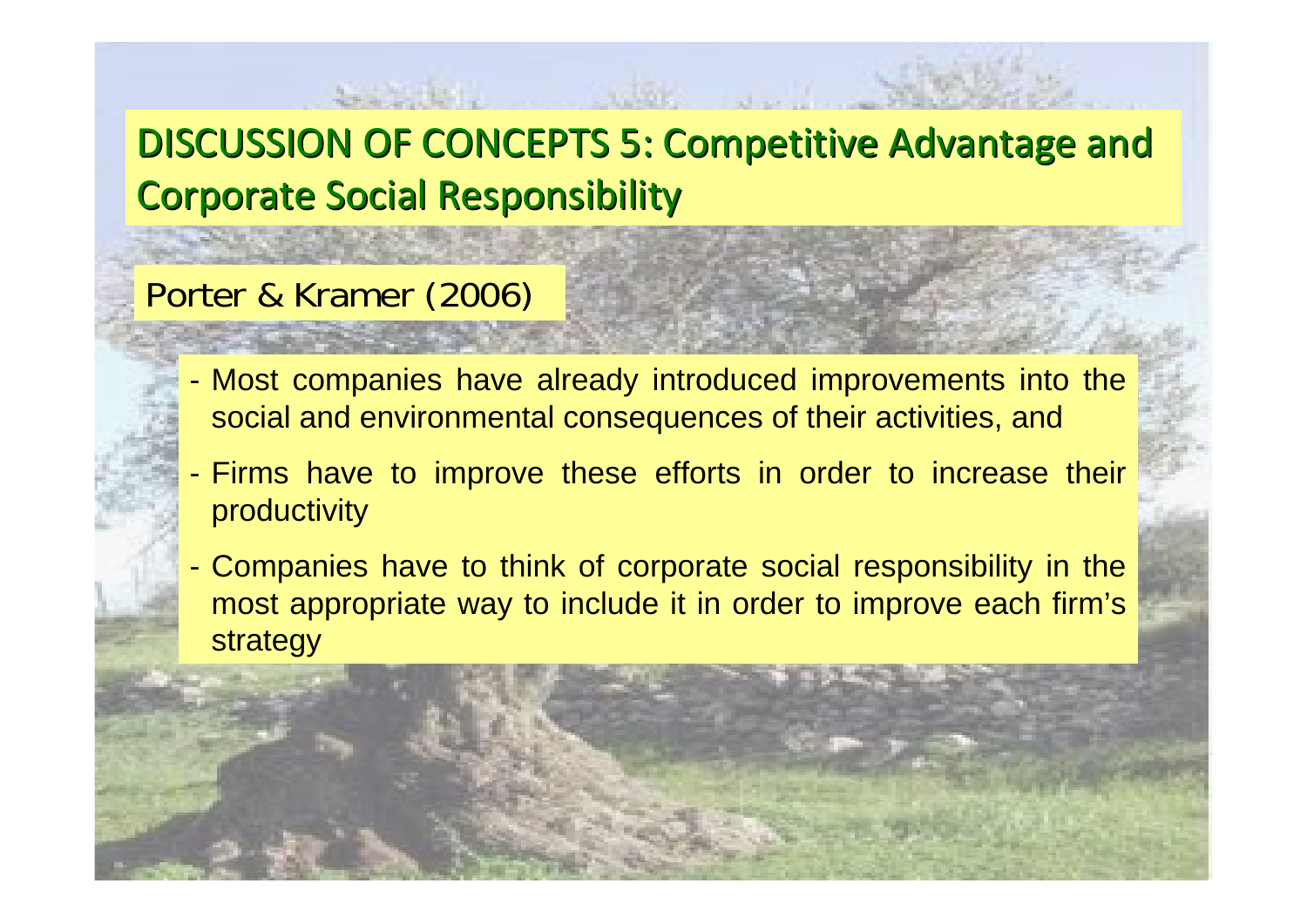# DISCUSSION OF CONCEPTS 5: Competitive Advantage and **Corporate Social Responsibility**

#### Porter & Kramer (2006)

- Most companies have already introduced improvements into the social and environmental consequences of their activities, and
- - Firms have to improve these efforts in order to increase their productivity
- - Companies have to think of corporate social responsibility in the most appropriate way to include it in order to improve each firm's strategy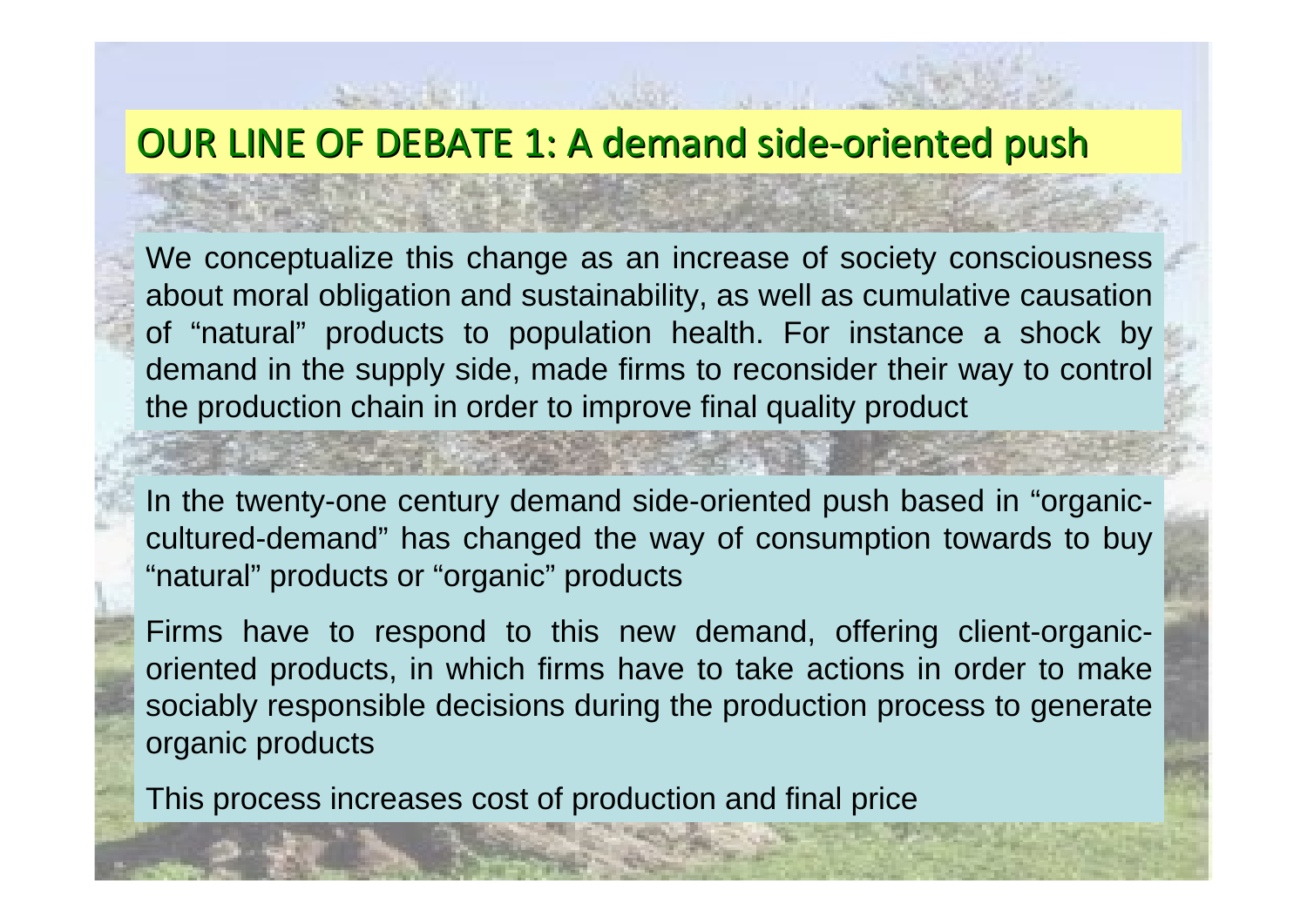#### OUR LINE OF DEBATE 1: A demand side-oriented push

We conceptualize this change as an increase of society consciousness about moral obligation and sustainability, as well as cumulative causation of "natural" products to population health. For instance a shock by demand in the supply side, made firms to reconsider their way to control the production chain in order to improve final quality product

In the twenty-one century demand side-oriented push based in "organiccultured-demand" has changed the way of consumption towards to buy "natural" products or "organic" products

Firms have to respond to this new demand, offering client-organicoriented products, in which firms have to take actions in order to make sociably responsible decisions during the production process to generate organic products

This process increases cost of production and final price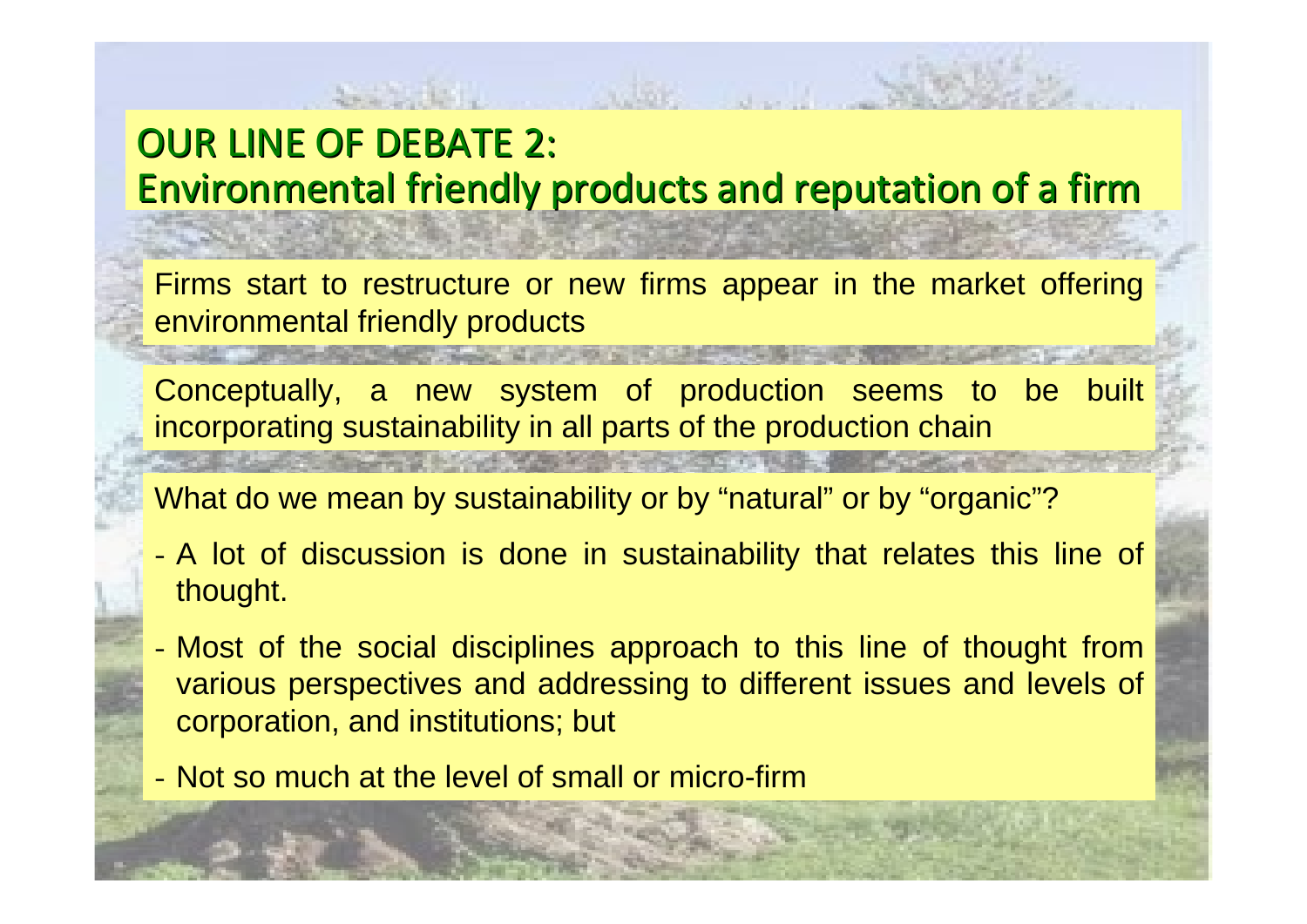# OUR LINE OF DEBATE 2: Environmental friendly products and reputation of a firm

Firms start to restructure or new firms appear in the market offering environmental friendly products

Conceptually, a new system of production seems to be built incorporating sustainability in all parts of the production chain

What do we mean by sustainability or by "natural" or by "organic"?

- - A lot of discussion is done in sustainability that relates this line of thought.
- - Most of the social disciplines approach to this line of thought from various perspectives and addressing to different issues and levels of corporation, and institutions; but
- Not so much at the level of small or micro-firm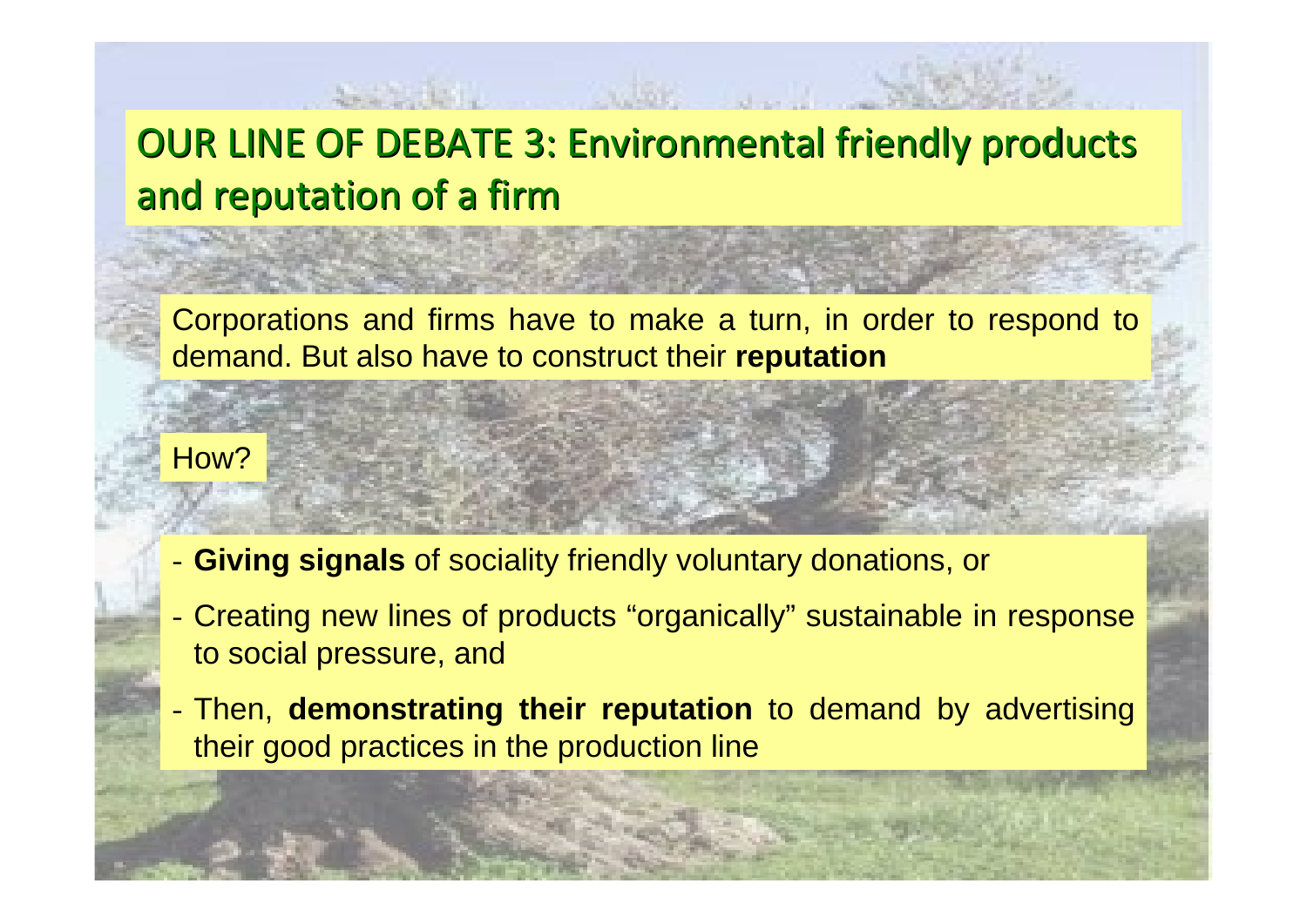# OUR LINE OF DEBATE 3: Environmental friendly products and reputation of a firm

Corporations and firms have to make a turn, in order to respond to demand. But also have to construct their **reputation**

How?

- -**Giving signals** of sociality friendly voluntary donations, or
- - Creating new lines of products "organically" sustainable in response to social pressure, and
- - Then, **demonstrating their reputation** to demand by advertising their good practices in the production line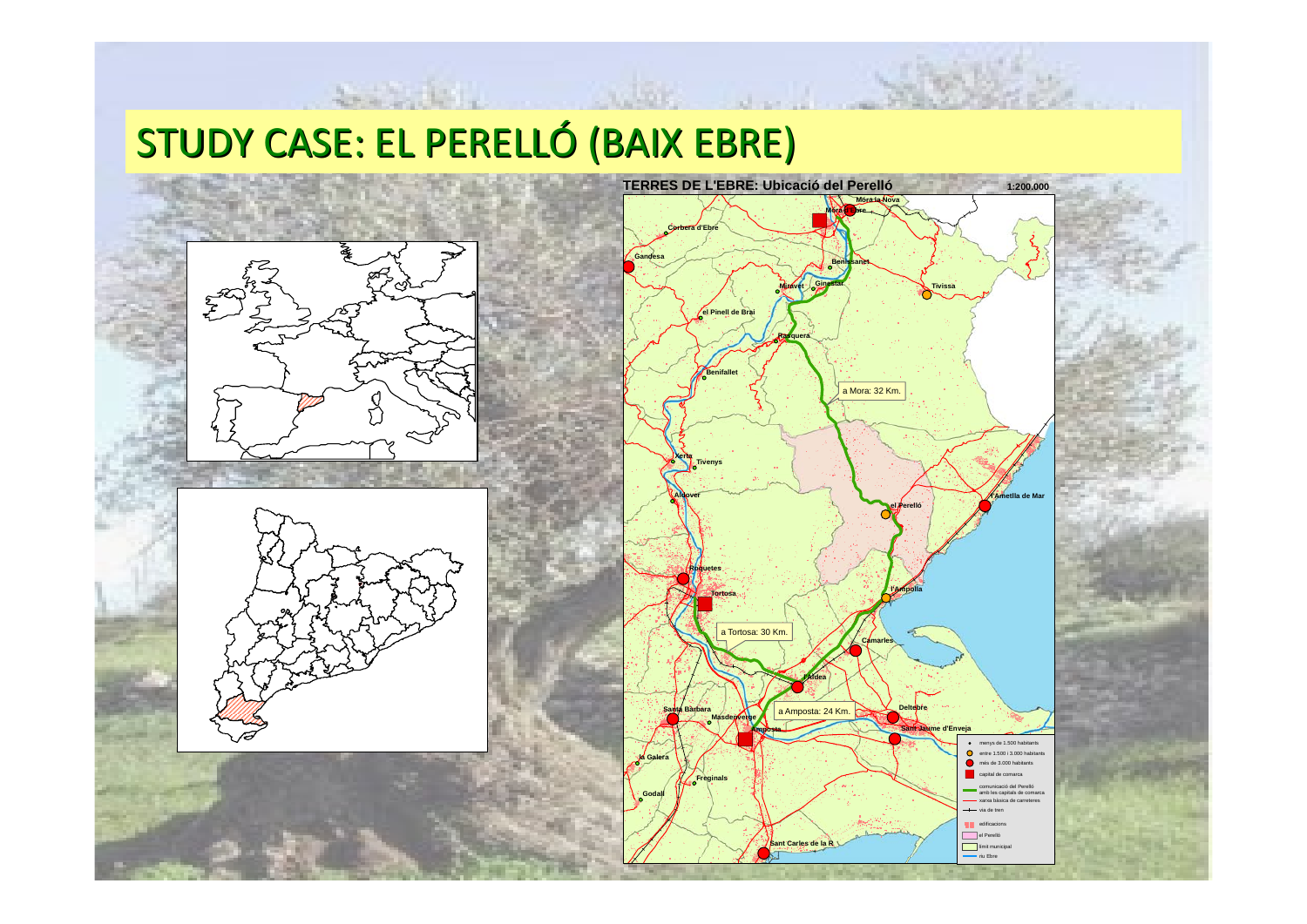# STUDY CASE: EL PERELLÓ (BAIX EBRE)





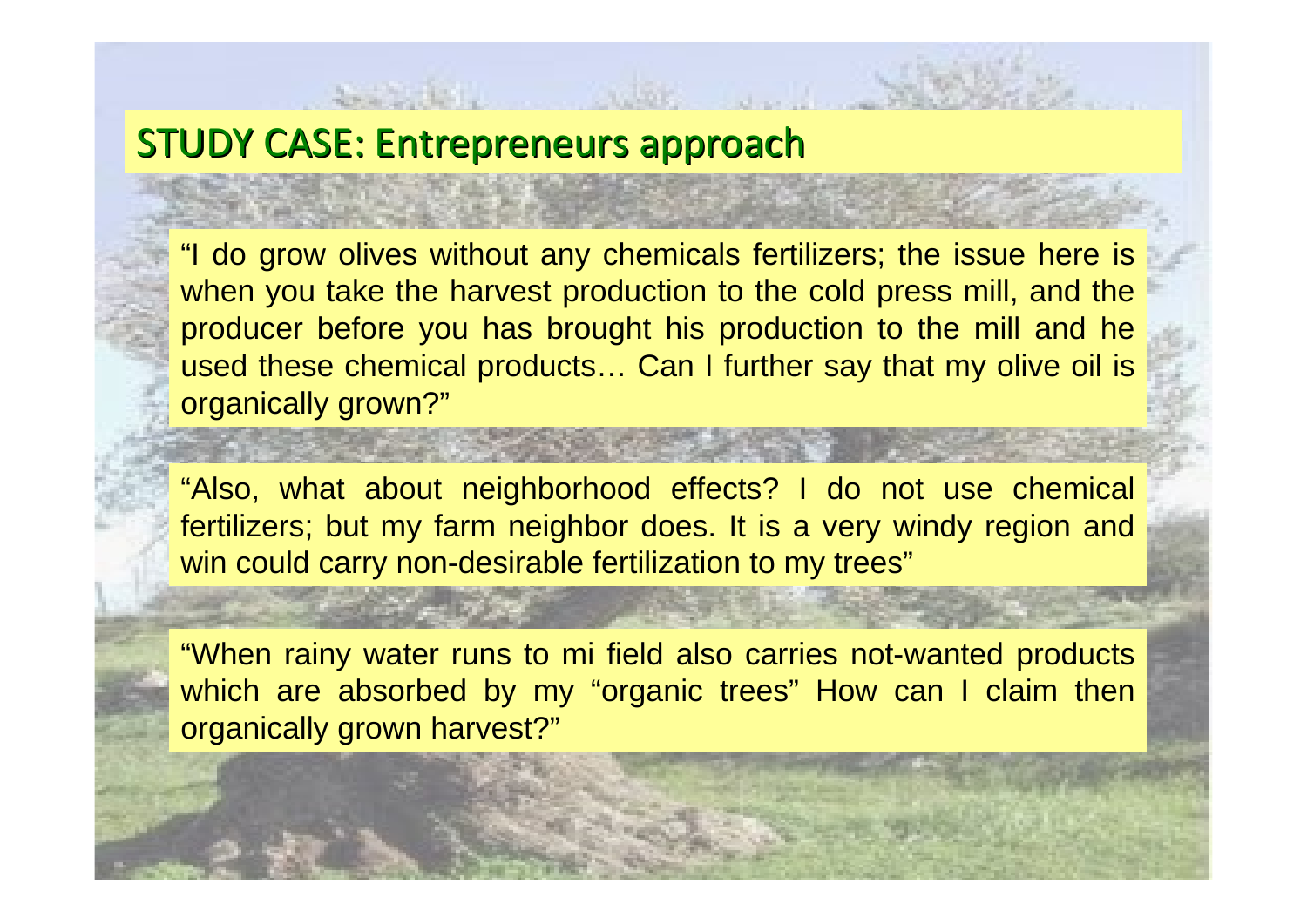#### STUDY CASE: Entrepreneurs approach

"I do grow olives without any chemicals fertilizers; the issue here is when you take the harvest production to the cold press mill, and the producer before you has brought his production to the mill and he used these chemical products… Can I further say that my olive oil is organically grown?"

"Also, what about neighborhood effects? I do not use chemical fertilizers; but my farm neighbor does. It is a very windy region and win could carry non-desirable fertilization to my trees"

"When rainy water runs to mi field also carries not-wanted products which are absorbed by my "organic trees" How can I claim then organically grown harvest?"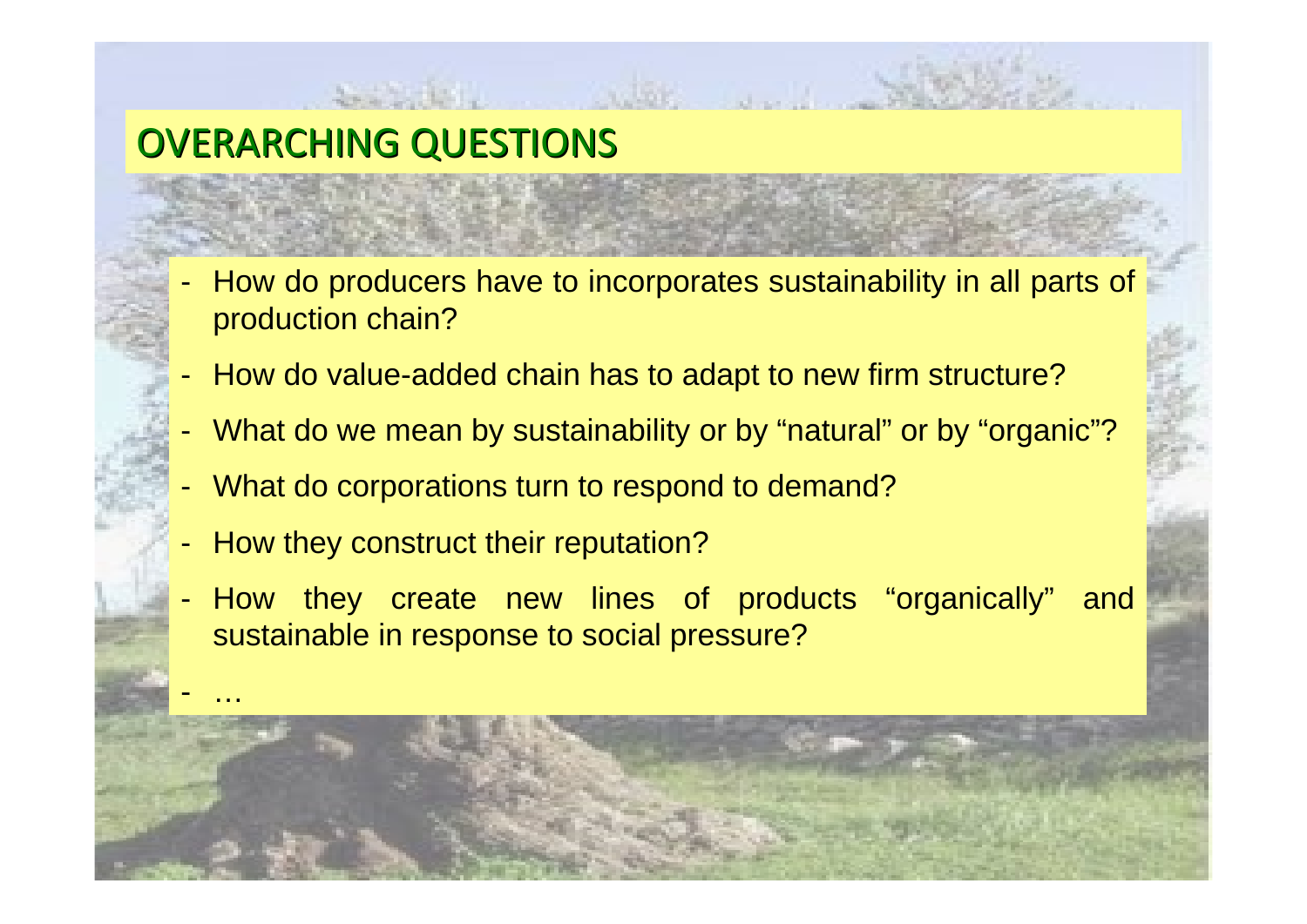# OVERARCHING QUESTIONS

- - How do producers have to incorporates sustainability in all parts of production chain?
- -How do value-added chain has to adapt to new firm structure?
- -What do we mean by sustainability or by "natural" or by "organic"?
- -What do corporations turn to respond to demand?
- -How they construct their reputation?

-

…

- How they create new lines of products "organically" and sustainable in response to social pressure?